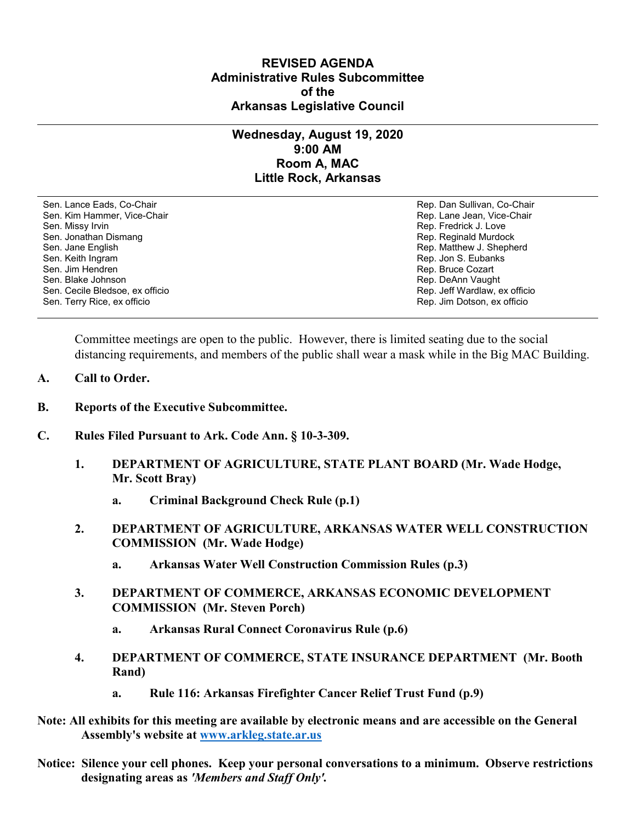## **REVISED AGENDA Administrative Rules Subcommittee of the Arkansas Legislative Council**

## **Wednesday, August 19, 2020 9:00 AM Room A, MAC Little Rock, Arkansas**

Sen. Lance Eads, Co-Chair Rep. Dan Sullivan, Co-Chair Sen. Kim Hammer, Vice-Chair **Rep. Lane Jean, Vice-Chair** Rep. Lane Jean, Vice-Chair Sen. Missy Irvin New York 1, 2008 and the sense of the sense of the Sense of Technical Sense of Technical Australian Sense of Technical Australian Sense of Technical Australian Sense of Technical Australian Sense of Techni Sen. Jonathan Dismang Rep. Reginald Murdock Sen. Jane English Rep. Matthew J. Shepherd Rep. Matthew J. Shepherd Sen. Keith Ingram Rep. Jon S. Eubanks (Sen. Keith Ingram Rep. Jon S. Eubanks (Sen. Jon S. Eubanks (Sen. Jon S. Eubanks (Sen. Jon S. Eubanks (Sen. Jon S. Eubanks (Sen. Jon S. Eubanks (Sen. Jon S. Eubanks (Sen. Jon S. Eubank Sen. Blake Johnson (Sen. 1999)<br>Sen. Cecile Bledsoe, ex officio (Sen. 1999)<br>Sen. Cecile Bledsoe, ex officio (Sen. 1999) Sen. Cecile Bledsoe, ex officio Sen. Terry Rice, ex officio Rep. Jim Dotson, ex officio

Rep. Bruce Cozart

Committee meetings are open to the public. However, there is limited seating due to the social distancing requirements, and members of the public shall wear a mask while in the Big MAC Building.

- **A. Call to Order.**
- **B. Reports of the Executive Subcommittee.**
- **C. Rules Filed Pursuant to Ark. Code Ann. § 10-3-309.**
	- **1. DEPARTMENT OF AGRICULTURE, STATE PLANT BOARD (Mr. Wade Hodge, Mr. Scott Bray)**
		- **a. Criminal Background Check Rule (p.1)**
	- **2. DEPARTMENT OF AGRICULTURE, ARKANSAS WATER WELL CONSTRUCTION COMMISSION (Mr. Wade Hodge)**
		- **a. Arkansas Water Well Construction Commission Rules (p.3)**
	- **3. DEPARTMENT OF COMMERCE, ARKANSAS ECONOMIC DEVELOPMENT COMMISSION (Mr. Steven Porch)**
		- **a. Arkansas Rural Connect Coronavirus Rule (p.6)**
	- **4. DEPARTMENT OF COMMERCE, STATE INSURANCE DEPARTMENT (Mr. Booth Rand)**
		- **a. Rule 116: Arkansas Firefighter Cancer Relief Trust Fund (p.9)**
- **Note: All exhibits for this meeting are available by electronic means and are accessible on the General Assembly's website at [www.arkleg.state.ar.us](http://www.arkleg.state.ar.us)**
- **Notice: Silence your cell phones. Keep your personal conversations to a minimum. Observe restrictions designating areas as** *'Members and Staff Only'.*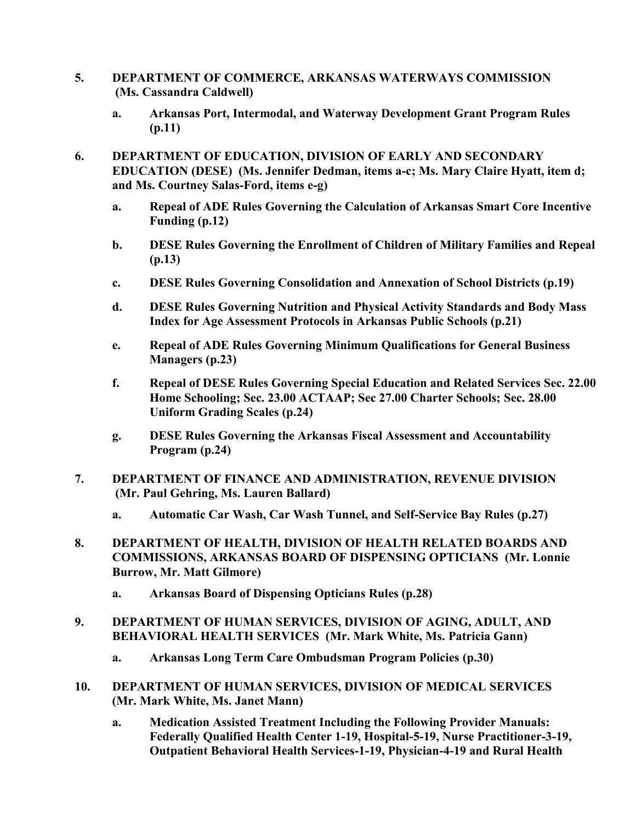- **5. DEPARTMENT OF COMMERCE, ARKANSAS WATERWAYS COMMISSION (Ms. Cassandra Caldwell)**
	- **a. Arkansas Port, Intermodal, and Waterway Development Grant Program Rules (p.11)**
- **6. DEPARTMENT OF EDUCATION, DIVISION OF EARLY AND SECONDARY EDUCATION (DESE) (Ms. Jennifer Dedman, items a-c; Ms. Mary Claire Hyatt, item d; and Ms. Courtney Salas-Ford, items e-g)**
	- **a. Repeal of ADE Rules Governing the Calculation of Arkansas Smart Core Incentive Funding (p.12)**
	- **b. DESE Rules Governing the Enrollment of Children of Military Families and Repeal (p.13)**
	- **c. DESE Rules Governing Consolidation and Annexation of School Districts (p.19)**
	- **d. DESE Rules Governing Nutrition and Physical Activity Standards and Body Mass Index for Age Assessment Protocols in Arkansas Public Schools (p.21)**
	- **e. Repeal of ADE Rules Governing Minimum Qualifications for General Business Managers (p.23)**
	- **f. Repeal of DESE Rules Governing Special Education and Related Services Sec. 22.00 Home Schooling; Sec. 23.00 ACTAAP; Sec 27.00 Charter Schools; Sec. 28.00 Uniform Grading Scales (p.24)**
	- **g. DESE Rules Governing the Arkansas Fiscal Assessment and Accountability Program (p.24)**
- **7. DEPARTMENT OF FINANCE AND ADMINISTRATION, REVENUE DIVISION (Mr. Paul Gehring, Ms. Lauren Ballard)**
	- **a. Automatic Car Wash, Car Wash Tunnel, and Self-Service Bay Rules (p.27)**
- **8. DEPARTMENT OF HEALTH, DIVISION OF HEALTH RELATED BOARDS AND COMMISSIONS, ARKANSAS BOARD OF DISPENSING OPTICIANS (Mr. Lonnie Burrow, Mr. Matt Gilmore)**
	- **a. Arkansas Board of Dispensing Opticians Rules (p.28)**
- **9. DEPARTMENT OF HUMAN SERVICES, DIVISION OF AGING, ADULT, AND BEHAVIORAL HEALTH SERVICES (Mr. Mark White, Ms. Patricia Gann)**
	- **a. Arkansas Long Term Care Ombudsman Program Policies (p.30)**
- **10. DEPARTMENT OF HUMAN SERVICES, DIVISION OF MEDICAL SERVICES (Mr. Mark White, Ms. Janet Mann)**
	- **a. Medication Assisted Treatment Including the Following Provider Manuals: Federally Qualified Health Center 1-19, Hospital-5-19, Nurse Practitioner-3-19, Outpatient Behavioral Health Services-1-19, Physician-4-19 and Rural Health**